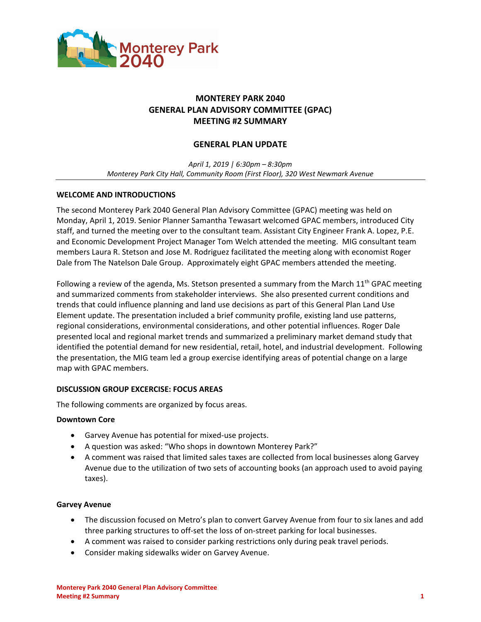

# **MONTEREY PARK 2040 GENERAL PLAN ADVISORY COMMITTEE (GPAC) MEETING #2 SUMMARY**

# **GENERAL PLAN UPDATE**

*April 1, 2019 | 6:30pm – 8:30pm Monterey Park City Hall, Community Room (First Floor), 320 West Newmark Avenue* 

# **WELCOME AND INTRODUCTIONS**

The second Monterey Park 2040 General Plan Advisory Committee (GPAC) meeting was held on Monday, April 1, 2019. Senior Planner Samantha Tewasart welcomed GPAC members, introduced City staff, and turned the meeting over to the consultant team. Assistant City Engineer Frank A. Lopez, P.E. and Economic Development Project Manager Tom Welch attended the meeting. MIG consultant team members Laura R. Stetson and Jose M. Rodriguez facilitated the meeting along with economist Roger Dale from The Natelson Dale Group. Approximately eight GPAC members attended the meeting.

Following a review of the agenda, Ms. Stetson presented a summary from the March  $11<sup>th</sup>$  GPAC meeting and summarized comments from stakeholder interviews. She also presented current conditions and trends that could influence planning and land use decisions as part of this General Plan Land Use Element update. The presentation included a brief community profile, existing land use patterns, regional considerations, environmental considerations, and other potential influences. Roger Dale presented local and regional market trends and summarized a preliminary market demand study that identified the potential demand for new residential, retail, hotel, and industrial development. Following the presentation, the MIG team led a group exercise identifying areas of potential change on a large map with GPAC members.

#### **DISCUSSION GROUP EXCERCISE: FOCUS AREAS**

The following comments are organized by focus areas.

#### **Downtown Core**

- Garvey Avenue has potential for mixed-use projects.
- A question was asked: "Who shops in downtown Monterey Park?"
- A comment was raised that limited sales taxes are collected from local businesses along Garvey Avenue due to the utilization of two sets of accounting books (an approach used to avoid paying taxes).

#### **Garvey Avenue**

- The discussion focused on Metro's plan to convert Garvey Avenue from four to six lanes and add three parking structures to off-set the loss of on-street parking for local businesses.
- A comment was raised to consider parking restrictions only during peak travel periods.
- Consider making sidewalks wider on Garvey Avenue.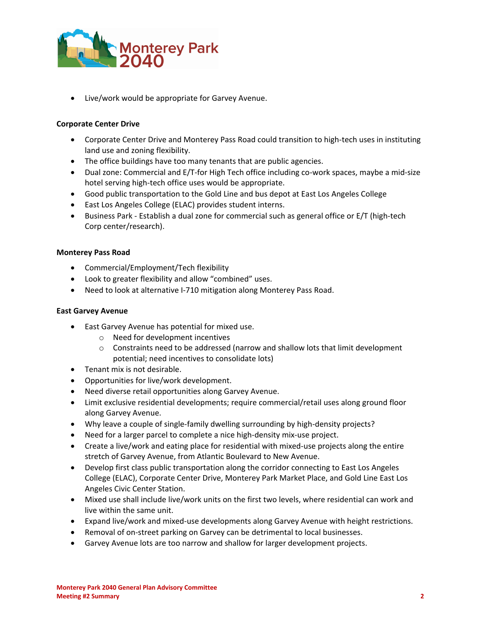

Live/work would be appropriate for Garvey Avenue.

# **Corporate Center Drive**

- Corporate Center Drive and Monterey Pass Road could transition to high-tech uses in instituting land use and zoning flexibility.
- The office buildings have too many tenants that are public agencies.
- Dual zone: Commercial and E/T-for High Tech office including co-work spaces, maybe a mid-size hotel serving high-tech office uses would be appropriate.
- Good public transportation to the Gold Line and bus depot at East Los Angeles College
- East Los Angeles College (ELAC) provides student interns.
- Business Park Establish a dual zone for commercial such as general office or E/T (high-tech Corp center/research).

#### **Monterey Pass Road**

- Commercial/Employment/Tech flexibility
- Look to greater flexibility and allow "combined" uses.
- Need to look at alternative I-710 mitigation along Monterey Pass Road.

#### **East Garvey Avenue**

- East Garvey Avenue has potential for mixed use.
	- o Need for development incentives
	- $\circ$  Constraints need to be addressed (narrow and shallow lots that limit development potential; need incentives to consolidate lots)
- Tenant mix is not desirable.
- Opportunities for live/work development.
- Need diverse retail opportunities along Garvey Avenue.
- Limit exclusive residential developments; require commercial/retail uses along ground floor along Garvey Avenue.
- Why leave a couple of single-family dwelling surrounding by high-density projects?
- Need for a larger parcel to complete a nice high-density mix-use project.
- Create a live/work and eating place for residential with mixed-use projects along the entire stretch of Garvey Avenue, from Atlantic Boulevard to New Avenue.
- Develop first class public transportation along the corridor connecting to East Los Angeles College (ELAC), Corporate Center Drive, Monterey Park Market Place, and Gold Line East Los Angeles Civic Center Station.
- Mixed use shall include live/work units on the first two levels, where residential can work and live within the same unit.
- Expand live/work and mixed-use developments along Garvey Avenue with height restrictions.
- Removal of on-street parking on Garvey can be detrimental to local businesses.
- Garvey Avenue lots are too narrow and shallow for larger development projects.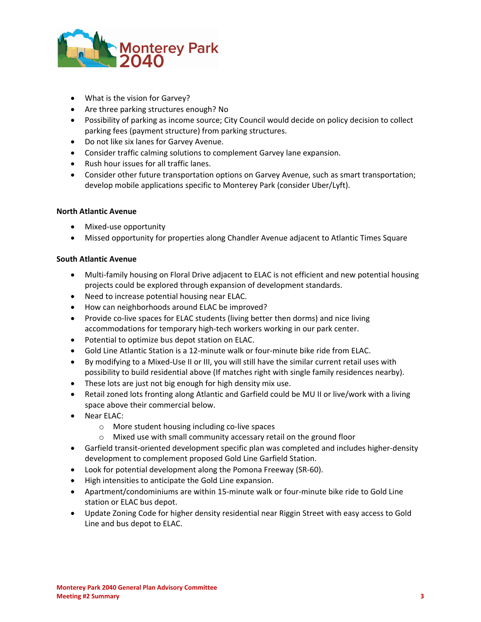

- What is the vision for Garvey?
- Are three parking structures enough? No
- Possibility of parking as income source; City Council would decide on policy decision to collect parking fees (payment structure) from parking structures.
- Do not like six lanes for Garvey Avenue.
- Consider traffic calming solutions to complement Garvey lane expansion.
- Rush hour issues for all traffic lanes.
- Consider other future transportation options on Garvey Avenue, such as smart transportation; develop mobile applications specific to Monterey Park (consider Uber/Lyft).

# **North Atlantic Avenue**

- Mixed-use opportunity
- Missed opportunity for properties along Chandler Avenue adjacent to Atlantic Times Square

# **South Atlantic Avenue**

- Multi-family housing on Floral Drive adjacent to ELAC is not efficient and new potential housing projects could be explored through expansion of development standards.
- Need to increase potential housing near ELAC.
- How can neighborhoods around ELAC be improved?
- Provide co-live spaces for ELAC students (living better then dorms) and nice living accommodations for temporary high-tech workers working in our park center.
- Potential to optimize bus depot station on ELAC.
- Gold Line Atlantic Station is a 12-minute walk or four-minute bike ride from ELAC.
- By modifying to a Mixed-Use II or III, you will still have the similar current retail uses with possibility to build residential above (If matches right with single family residences nearby).
- These lots are just not big enough for high density mix use.
- Retail zoned lots fronting along Atlantic and Garfield could be MU II or live/work with a living space above their commercial below.
- Near ELAC:
	- o More student housing including co-live spaces
	- o Mixed use with small community accessary retail on the ground floor
- Garfield transit-oriented development specific plan was completed and includes higher-density development to complement proposed Gold Line Garfield Station.
- Look for potential development along the Pomona Freeway (SR-60).
- High intensities to anticipate the Gold Line expansion.
- Apartment/condominiums are within 15-minute walk or four-minute bike ride to Gold Line station or ELAC bus depot.
- Update Zoning Code for higher density residential near Riggin Street with easy access to Gold Line and bus depot to ELAC.